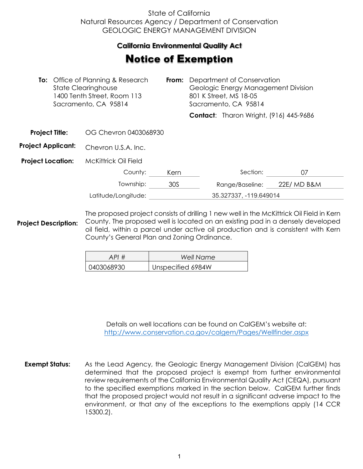## State of California Natural Resources Agency / Department of Conservation GEOLOGIC ENERGY MANAGEMENT DIVISION

## **California Environmental Quality Act**  California Environmental Quality Act

## **Notice of Exemption**

| <b>To:</b> Office of Planning & Research<br><b>State Clearinghouse</b><br>1400 Tenth Street, Room 113<br>Sacramento, CA 95814 |  | From:                       | Department of Conservation<br>Geologic Energy Management Division<br>801 K Street, MS 18-05<br>Sacramento, CA 95814 |  |                                               |             |  |
|-------------------------------------------------------------------------------------------------------------------------------|--|-----------------------------|---------------------------------------------------------------------------------------------------------------------|--|-----------------------------------------------|-------------|--|
|                                                                                                                               |  |                             |                                                                                                                     |  | <b>Contact:</b> Tharon Wright, (916) 445-9686 |             |  |
| <b>Project Title:</b>                                                                                                         |  | OG Chevron 0403068930       |                                                                                                                     |  |                                               |             |  |
| <b>Project Applicant:</b>                                                                                                     |  | Chevron U.S.A. Inc.         |                                                                                                                     |  |                                               |             |  |
| <b>Project Location:</b>                                                                                                      |  | <b>McKittrick Oil Field</b> |                                                                                                                     |  |                                               |             |  |
|                                                                                                                               |  | County:                     | Kern                                                                                                                |  | Section:                                      | 07          |  |
|                                                                                                                               |  | Township:                   | 30S                                                                                                                 |  | Range/Baseline:                               | 22E/ MD B&M |  |
|                                                                                                                               |  | Latitude/Longitude:         |                                                                                                                     |  | 35.327337, -119.649014                        |             |  |

**Project Description:** The proposed project consists of drilling 1 new well in the McKittrick Oil Field in Kern County. The proposed well is located on an existing pad in a densely developed oil field, within a parcel under active oil production and is consistent with Kern County's General Plan and Zoning Ordinance.

| API#       | Well Name         |
|------------|-------------------|
| 0403068930 | Unspecified 6984W |

Details on well locations can be found on CalGEM's website at: <http://www.conservation.ca.gov/calgem/Pages/Wellfinder.aspx>

**Exempt Status:** As the Lead Agency, the Geologic Energy Management Division (CalGEM) has determined that the proposed project is exempt from further environmental review requirements of the California Environmental Quality Act (CEQA), pursuant to the specified exemptions marked in the section below. CalGEM further finds that the proposed project would not result in a significant adverse impact to the environment, or that any of the exceptions to the exemptions apply (14 CCR 15300.2).